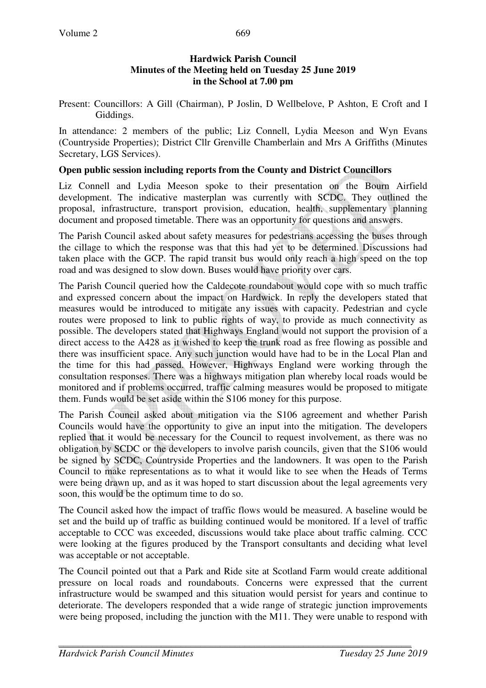Present: Councillors: A Gill (Chairman), P Joslin, D Wellbelove, P Ashton, E Croft and I Giddings.

In attendance: 2 members of the public; Liz Connell, Lydia Meeson and Wyn Evans (Countryside Properties); District Cllr Grenville Chamberlain and Mrs A Griffiths (Minutes Secretary, LGS Services).

#### **Open public session including reports from the County and District Councillors**

Liz Connell and Lydia Meeson spoke to their presentation on the Bourn Airfield development. The indicative masterplan was currently with SCDC. They outlined the proposal, infrastructure, transport provision, education, health, supplementary planning document and proposed timetable. There was an opportunity for questions and answers.

The Parish Council asked about safety measures for pedestrians accessing the buses through the cillage to which the response was that this had yet to be determined. Discussions had taken place with the GCP. The rapid transit bus would only reach a high speed on the top road and was designed to slow down. Buses would have priority over cars.

The Parish Council queried how the Caldecote roundabout would cope with so much traffic and expressed concern about the impact on Hardwick. In reply the developers stated that measures would be introduced to mitigate any issues with capacity. Pedestrian and cycle routes were proposed to link to public rights of way, to provide as much connectivity as possible. The developers stated that Highways England would not support the provision of a direct access to the A428 as it wished to keep the trunk road as free flowing as possible and there was insufficient space. Any such junction would have had to be in the Local Plan and the time for this had passed. However, Highways England were working through the consultation responses. There was a highways mitigation plan whereby local roads would be monitored and if problems occurred, traffic calming measures would be proposed to mitigate them. Funds would be set aside within the S106 money for this purpose.

The Parish Council asked about mitigation via the S106 agreement and whether Parish Councils would have the opportunity to give an input into the mitigation. The developers replied that it would be necessary for the Council to request involvement, as there was no obligation by SCDC or the developers to involve parish councils, given that the S106 would be signed by SCDC, Countryside Properties and the landowners. It was open to the Parish Council to make representations as to what it would like to see when the Heads of Terms were being drawn up, and as it was hoped to start discussion about the legal agreements very soon, this would be the optimum time to do so.

The Council asked how the impact of traffic flows would be measured. A baseline would be set and the build up of traffic as building continued would be monitored. If a level of traffic acceptable to CCC was exceeded, discussions would take place about traffic calming. CCC were looking at the figures produced by the Transport consultants and deciding what level was acceptable or not acceptable.

The Council pointed out that a Park and Ride site at Scotland Farm would create additional pressure on local roads and roundabouts. Concerns were expressed that the current infrastructure would be swamped and this situation would persist for years and continue to deteriorate. The developers responded that a wide range of strategic junction improvements were being proposed, including the junction with the M11. They were unable to respond with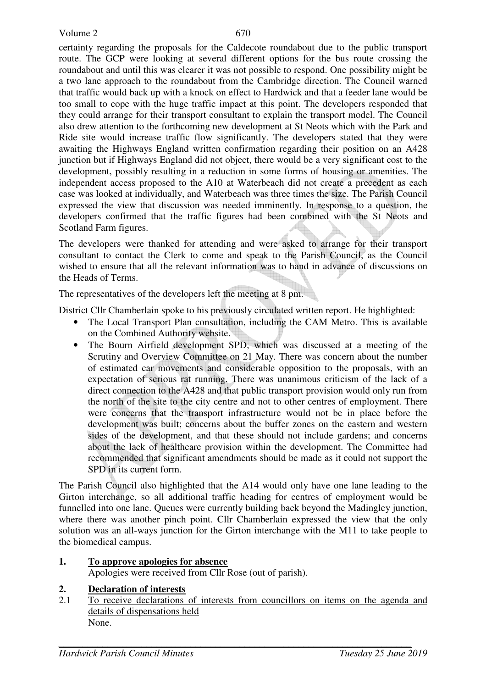certainty regarding the proposals for the Caldecote roundabout due to the public transport route. The GCP were looking at several different options for the bus route crossing the roundabout and until this was clearer it was not possible to respond. One possibility might be a two lane approach to the roundabout from the Cambridge direction. The Council warned that traffic would back up with a knock on effect to Hardwick and that a feeder lane would be too small to cope with the huge traffic impact at this point. The developers responded that they could arrange for their transport consultant to explain the transport model. The Council also drew attention to the forthcoming new development at St Neots which with the Park and Ride site would increase traffic flow significantly. The developers stated that they were awaiting the Highways England written confirmation regarding their position on an A428 junction but if Highways England did not object, there would be a very significant cost to the development, possibly resulting in a reduction in some forms of housing or amenities. The independent access proposed to the A10 at Waterbeach did not create a precedent as each case was looked at individually, and Waterbeach was three times the size. The Parish Council expressed the view that discussion was needed imminently. In response to a question, the developers confirmed that the traffic figures had been combined with the St Neots and Scotland Farm figures.

The developers were thanked for attending and were asked to arrange for their transport consultant to contact the Clerk to come and speak to the Parish Council, as the Council wished to ensure that all the relevant information was to hand in advance of discussions on the Heads of Terms.

The representatives of the developers left the meeting at 8 pm.

District Cllr Chamberlain spoke to his previously circulated written report. He highlighted:

- The Local Transport Plan consultation, including the CAM Metro. This is available on the Combined Authority website.
- The Bourn Airfield development SPD, which was discussed at a meeting of the Scrutiny and Overview Committee on 21 May. There was concern about the number of estimated car movements and considerable opposition to the proposals, with an expectation of serious rat running. There was unanimous criticism of the lack of a direct connection to the A428 and that public transport provision would only run from the north of the site to the city centre and not to other centres of employment. There were concerns that the transport infrastructure would not be in place before the development was built; concerns about the buffer zones on the eastern and western sides of the development, and that these should not include gardens; and concerns about the lack of healthcare provision within the development. The Committee had recommended that significant amendments should be made as it could not support the SPD in its current form.

The Parish Council also highlighted that the A14 would only have one lane leading to the Girton interchange, so all additional traffic heading for centres of employment would be funnelled into one lane. Queues were currently building back beyond the Madingley junction, where there was another pinch point. Cllr Chamberlain expressed the view that the only solution was an all-ways junction for the Girton interchange with the M11 to take people to the biomedical campus.

# **1. To approve apologies for absence**

Apologies were received from Cllr Rose (out of parish).

# **2. Declaration of interests**

2.1 To receive declarations of interests from councillors on items on the agenda and details of dispensations held None.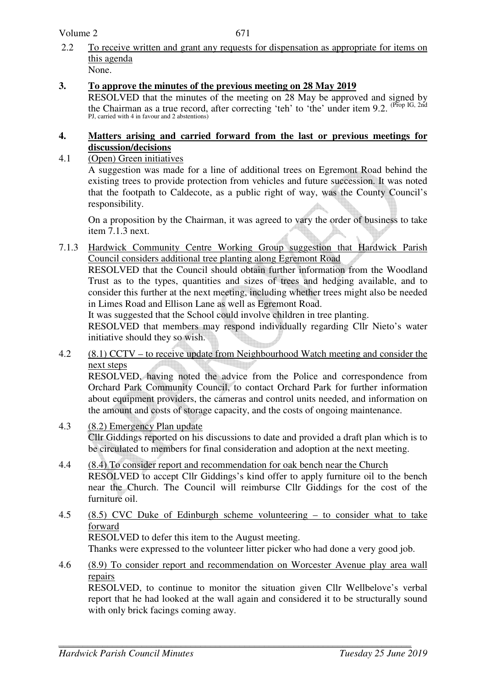Volume 2

- 2.2 To receive written and grant any requests for dispensation as appropriate for items on this agenda None.
- **3. To approve the minutes of the previous meeting on 28 May 2019**

RESOLVED that the minutes of the meeting on 28 May be approved and signed by the Chairman as a true record, after correcting 'teh' to 'the' under item 9.2. (Prop IG, 2nd PJ, carried with 4 in favour and 2 abstentions)

#### **4. Matters arising and carried forward from the last or previous meetings for discussion/decisions**

4.1 (Open) Green initiatives A suggestion was made for a line of additional trees on Egremont Road behind the existing trees to provide protection from vehicles and future succession. It was noted that the footpath to Caldecote, as a public right of way, was the County Council's responsibility.

 On a proposition by the Chairman, it was agreed to vary the order of business to take item 7.1.3 next.

7.1.3 Hardwick Community Centre Working Group suggestion that Hardwick Parish Council considers additional tree planting along Egremont Road

 RESOLVED that the Council should obtain further information from the Woodland Trust as to the types, quantities and sizes of trees and hedging available, and to consider this further at the next meeting, including whether trees might also be needed in Limes Road and Ellison Lane as well as Egremont Road.

It was suggested that the School could involve children in tree planting.

 RESOLVED that members may respond individually regarding Cllr Nieto's water initiative should they so wish.

4.2 (8.1) CCTV – to receive update from Neighbourhood Watch meeting and consider the next steps

RESOLVED, having noted the advice from the Police and correspondence from Orchard Park Community Council, to contact Orchard Park for further information about equipment providers, the cameras and control units needed, and information on the amount and costs of storage capacity, and the costs of ongoing maintenance.

- 4.3 (8.2) Emergency Plan update Cllr Giddings reported on his discussions to date and provided a draft plan which is to be circulated to members for final consideration and adoption at the next meeting.
- 4.4 (8.4) To consider report and recommendation for oak bench near the Church RESOLVED to accept Cllr Giddings's kind offer to apply furniture oil to the bench near the Church. The Council will reimburse Cllr Giddings for the cost of the furniture oil.
- 4.5 (8.5) CVC Duke of Edinburgh scheme volunteering to consider what to take forward RESOLVED to defer this item to the August meeting. Thanks were expressed to the volunteer litter picker who had done a very good job.
- 4.6 (8.9) To consider report and recommendation on Worcester Avenue play area wall

repairs RESOLVED, to continue to monitor the situation given Cllr Wellbelove's verbal report that he had looked at the wall again and considered it to be structurally sound with only brick facings coming away.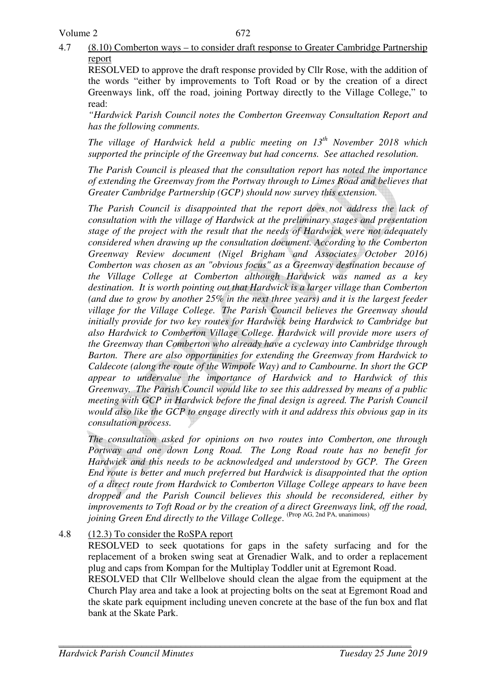4.7 (8.10) Comberton ways – to consider draft response to Greater Cambridge Partnership report

RESOLVED to approve the draft response provided by Cllr Rose, with the addition of the words "either by improvements to Toft Road or by the creation of a direct Greenways link, off the road, joining Portway directly to the Village College," to read:

*"Hardwick Parish Council notes the Comberton Greenway Consultation Report and has the following comments.* 

*The village of Hardwick held a public meeting on 13th November 2018 which supported the principle of the Greenway but had concerns. See attached resolution.* 

*The Parish Council is pleased that the consultation report has noted the importance of extending the Greenway from the Portway through to Limes Road and believes that Greater Cambridge Partnership (GCP) should now survey this extension.* 

*The Parish Council is disappointed that the report does not address the lack of consultation with the village of Hardwick at the preliminary stages and presentation stage of the project with the result that the needs of Hardwick were not adequately considered when drawing up the consultation document. According to the Comberton Greenway Review document (Nigel Brigham and Associates October 2016) Comberton was chosen as an "obvious focus" as a Greenway destination because of the Village College at Comberton although Hardwick was named as a key destination. It is worth pointing out that Hardwick is a larger village than Comberton (and due to grow by another 25% in the next three years) and it is the largest feeder village for the Village College. The Parish Council believes the Greenway should initially provide for two key routes for Hardwick being Hardwick to Cambridge but also Hardwick to Comberton Village College. Hardwick will provide more users of the Greenway than Comberton who already have a cycleway into Cambridge through Barton. There are also opportunities for extending the Greenway from Hardwick to Caldecote (along the route of the Wimpole Way) and to Cambourne. In short the GCP appear to undervalue the importance of Hardwick and to Hardwick of this Greenway. The Parish Council would like to see this addressed by means of a public meeting with GCP in Hardwick before the final design is agreed. The Parish Council would also like the GCP to engage directly with it and address this obvious gap in its consultation process.* 

*The consultation asked for opinions on two routes into Comberton, one through Portway and one down Long Road. The Long Road route has no benefit for Hardwick and this needs to be acknowledged and understood by GCP. The Green End route is better and much preferred but Hardwick is disappointed that the option of a direct route from Hardwick to Comberton Village College appears to have been dropped and the Parish Council believes this should be reconsidered, either by improvements to Toft Road or by the creation of a direct Greenways link, off the road, joining Green End directly to the Village College*. (Prop AG, 2nd PA, unanimous)

# 4.8 (12.3) To consider the RoSPA report

RESOLVED to seek quotations for gaps in the safety surfacing and for the replacement of a broken swing seat at Grenadier Walk, and to order a replacement plug and caps from Kompan for the Multiplay Toddler unit at Egremont Road.

RESOLVED that Cllr Wellbelove should clean the algae from the equipment at the Church Play area and take a look at projecting bolts on the seat at Egremont Road and the skate park equipment including uneven concrete at the base of the fun box and flat bank at the Skate Park.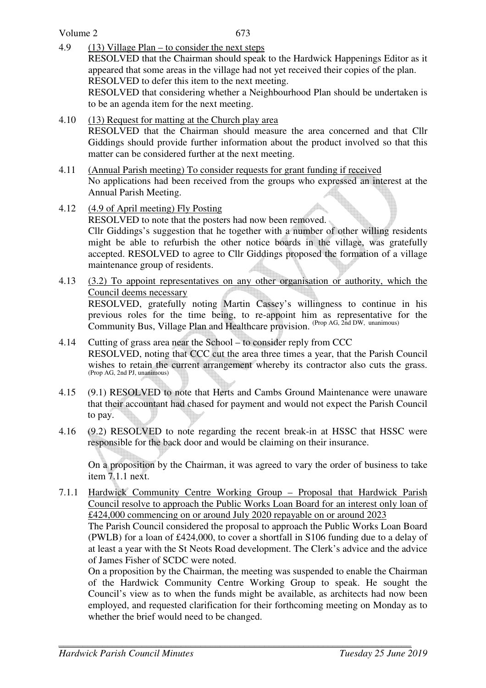Volume 2

- 4.9 (13) Village Plan to consider the next steps RESOLVED that the Chairman should speak to the Hardwick Happenings Editor as it appeared that some areas in the village had not yet received their copies of the plan. RESOLVED to defer this item to the next meeting. RESOLVED that considering whether a Neighbourhood Plan should be undertaken is to be an agenda item for the next meeting.
- 4.10 (13) Request for matting at the Church play area RESOLVED that the Chairman should measure the area concerned and that Cllr Giddings should provide further information about the product involved so that this matter can be considered further at the next meeting.
- 4.11 (Annual Parish meeting) To consider requests for grant funding if received No applications had been received from the groups who expressed an interest at the Annual Parish Meeting.
- 4.12 (4.9 of April meeting) Fly Posting RESOLVED to note that the posters had now been removed. Cllr Giddings's suggestion that he together with a number of other willing residents might be able to refurbish the other notice boards in the village, was gratefully accepted. RESOLVED to agree to Cllr Giddings proposed the formation of a village maintenance group of residents.
- 4.13 (3.2) To appoint representatives on any other organisation or authority, which the Council deems necessary RESOLVED, gratefully noting Martin Cassey's willingness to continue in his previous roles for the time being, to re-appoint him as representative for the Community Bus, Village Plan and Healthcare provision. (Prop AG, 2nd DW, unanimous)
- 4.14 Cutting of grass area near the School to consider reply from CCC RESOLVED, noting that CCC cut the area three times a year, that the Parish Council wishes to retain the current arrangement whereby its contractor also cuts the grass. (Prop AG, 2nd PJ, unanimous)
- 4.15 (9.1) RESOLVED to note that Herts and Cambs Ground Maintenance were unaware that their accountant had chased for payment and would not expect the Parish Council to pay.
- 4.16 (9.2) RESOLVED to note regarding the recent break-in at HSSC that HSSC were responsible for the back door and would be claiming on their insurance.

On a proposition by the Chairman, it was agreed to vary the order of business to take item 7.1.1 next.

7.1.1 Hardwick Community Centre Working Group – Proposal that Hardwick Parish Council resolve to approach the Public Works Loan Board for an interest only loan of £424,000 commencing on or around July 2020 repayable on or around 2023 The Parish Council considered the proposal to approach the Public Works Loan Board (PWLB) for a loan of £424,000, to cover a shortfall in S106 funding due to a delay of at least a year with the St Neots Road development. The Clerk's advice and the advice of James Fisher of SCDC were noted.

On a proposition by the Chairman, the meeting was suspended to enable the Chairman of the Hardwick Community Centre Working Group to speak. He sought the Council's view as to when the funds might be available, as architects had now been employed, and requested clarification for their forthcoming meeting on Monday as to whether the brief would need to be changed.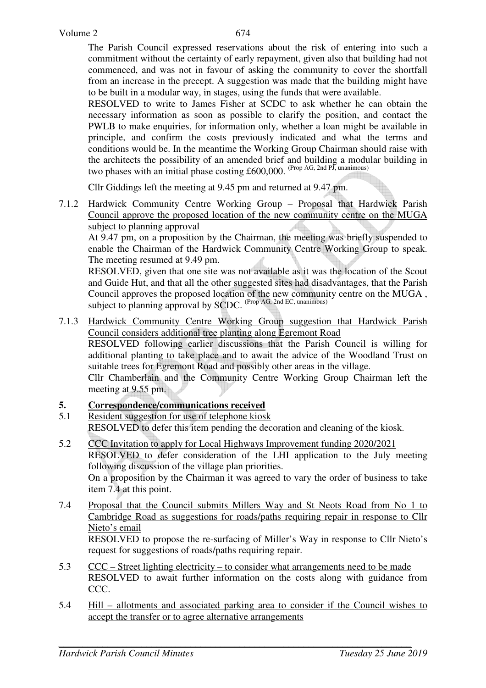The Parish Council expressed reservations about the risk of entering into such a commitment without the certainty of early repayment, given also that building had not commenced, and was not in favour of asking the community to cover the shortfall from an increase in the precept. A suggestion was made that the building might have to be built in a modular way, in stages, using the funds that were available.

RESOLVED to write to James Fisher at SCDC to ask whether he can obtain the necessary information as soon as possible to clarify the position, and contact the PWLB to make enquiries, for information only, whether a loan might be available in principle, and confirm the costs previously indicated and what the terms and conditions would be. In the meantime the Working Group Chairman should raise with the architects the possibility of an amended brief and building a modular building in two phases with an initial phase costing £600,000. (Prop AG, 2nd PJ, unanimous)

Cllr Giddings left the meeting at 9.45 pm and returned at 9.47 pm.

7.1.2 Hardwick Community Centre Working Group – Proposal that Hardwick Parish Council approve the proposed location of the new community centre on the MUGA subject to planning approval

 At 9.47 pm, on a proposition by the Chairman, the meeting was briefly suspended to enable the Chairman of the Hardwick Community Centre Working Group to speak. The meeting resumed at 9.49 pm.

RESOLVED, given that one site was not available as it was the location of the Scout and Guide Hut, and that all the other suggested sites had disadvantages, that the Parish Council approves the proposed location of the new community centre on the MUGA , subject to planning approval by SCDC. (Prop AG, 2nd EC, unanimous)

7.1.3 Hardwick Community Centre Working Group suggestion that Hardwick Parish Council considers additional tree planting along Egremont Road RESOLVED following earlier discussions that the Parish Council is willing for

additional planting to take place and to await the advice of the Woodland Trust on suitable trees for Egremont Road and possibly other areas in the village. Cllr Chamberlain and the Community Centre Working Group Chairman left the

meeting at 9.55 pm.

# **5. Correspondence/communications received**

- 5.1 Resident suggestion for use of telephone kiosk RESOLVED to defer this item pending the decoration and cleaning of the kiosk.
- 5.2 CCC Invitation to apply for Local Highways Improvement funding 2020/2021 RESOLVED to defer consideration of the LHI application to the July meeting following discussion of the village plan priorities. On a proposition by the Chairman it was agreed to vary the order of business to take item 7.4 at this point.
- 7.4 Proposal that the Council submits Millers Way and St Neots Road from No 1 to Cambridge Road as suggestions for roads/paths requiring repair in response to Cllr Nieto's email RESOLVED to propose the re-surfacing of Miller's Way in response to Cllr Nieto's request for suggestions of roads/paths requiring repair.
- 5.3 CCC Street lighting electricity to consider what arrangements need to be made RESOLVED to await further information on the costs along with guidance from CCC.
- 5.4 Hill allotments and associated parking area to consider if the Council wishes to accept the transfer or to agree alternative arrangements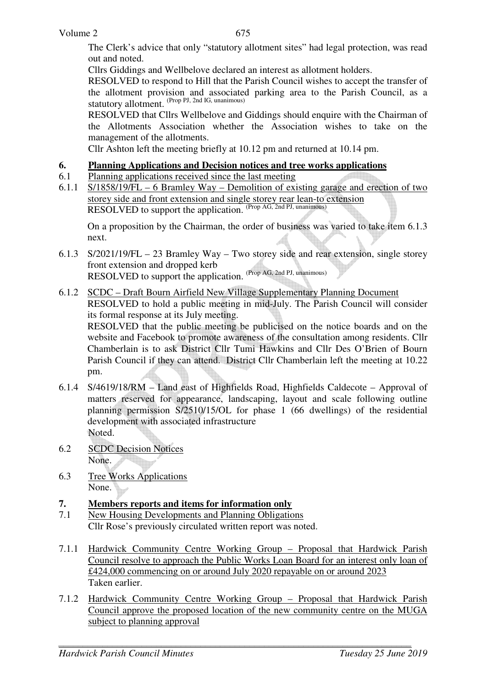The Clerk's advice that only "statutory allotment sites" had legal protection, was read out and noted.

Cllrs Giddings and Wellbelove declared an interest as allotment holders.

 RESOLVED to respond to Hill that the Parish Council wishes to accept the transfer of the allotment provision and associated parking area to the Parish Council, as a statutory allotment. (Prop PJ, 2nd IG, unanimous)

RESOLVED that Cllrs Wellbelove and Giddings should enquire with the Chairman of the Allotments Association whether the Association wishes to take on the management of the allotments.

Cllr Ashton left the meeting briefly at 10.12 pm and returned at 10.14 pm.

#### **6. Planning Applications and Decision notices and tree works applications**

- 6.1 Planning applications received since the last meeting
- 6.1.1 S/1858/19/FL 6 Bramley Way Demolition of existing garage and erection of two storey side and front extension and single storey rear lean-to extension RESOLVED to support the application. (Prop AG, 2nd PJ, unanimous)

 On a proposition by the Chairman, the order of business was varied to take item 6.1.3 next.

- 6.1.3 S/2021/19/FL 23 Bramley Way Two storey side and rear extension, single storey front extension and dropped kerb RESOLVED to support the application. (Prop AG, 2nd PJ, unanimous)
- 6.1.2 SCDC Draft Bourn Airfield New Village Supplementary Planning Document RESOLVED to hold a public meeting in mid-July. The Parish Council will consider its formal response at its July meeting.

RESOLVED that the public meeting be publicised on the notice boards and on the website and Facebook to promote awareness of the consultation among residents. Cllr Chamberlain is to ask District Cllr Tumi Hawkins and Cllr Des O'Brien of Bourn Parish Council if they can attend. District Cllr Chamberlain left the meeting at 10.22 pm.

- 6.1.4 S/4619/18/RM Land east of Highfields Road, Highfields Caldecote Approval of matters reserved for appearance, landscaping, layout and scale following outline planning permission S/2510/15/OL for phase 1 (66 dwellings) of the residential development with associated infrastructure Noted.
- 6.2 SCDC Decision Notices None.
- 6.3 Tree Works Applications None.

# **7. Members reports and items for information only**

- 7.1 New Housing Developments and Planning Obligations Cllr Rose's previously circulated written report was noted.
- 7.1.1 Hardwick Community Centre Working Group Proposal that Hardwick Parish Council resolve to approach the Public Works Loan Board for an interest only loan of £424,000 commencing on or around July 2020 repayable on or around 2023 Taken earlier.
- 7.1.2 Hardwick Community Centre Working Group Proposal that Hardwick Parish Council approve the proposed location of the new community centre on the MUGA subject to planning approval